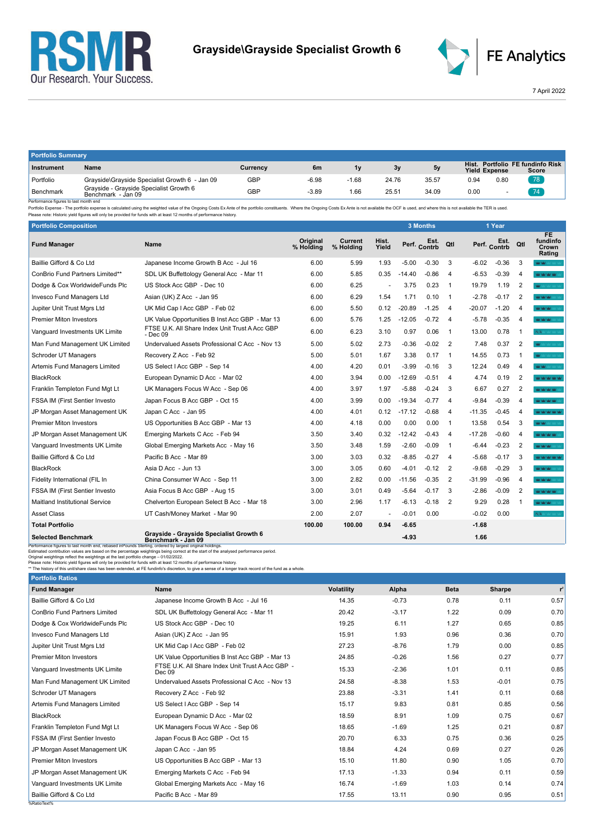



7 April 2022

| <b>Portfolio Summary</b>                             |                                                               |          |                |         |       |       |                               |      |                                     |
|------------------------------------------------------|---------------------------------------------------------------|----------|----------------|---------|-------|-------|-------------------------------|------|-------------------------------------|
| Instrument                                           | Name                                                          | Currency | 6 <sub>m</sub> | 1v      | 3v    | 5v    | Hist.<br><b>Yield Expense</b> |      | Portfolio FE fundinfo Risk<br>Score |
| Portfolio                                            | Grayside\Grayside Specialist Growth 6 - Jan 09                | GBP      | $-6.98$        | $-1.68$ | 24.76 | 35.57 | 0.94                          | 0.80 | $\sqrt{78}$                         |
| Benchmark<br>Desferences Correspondentes execute and | Grayside - Grayside Specialist Growth 6<br>Benchmark - Jan 09 | GBP      | $-3.89$        | 1.66    | 25.51 | 34.09 | 0.00                          |      |                                     |

Benchmark Benchmark Benchmark Benchmark Jan 09<br>- Performance figures is last month end<br>- Performance figures is alst month end benchmark - Jan 09 series is calculated using the weighted value of the Ongoing Costs Ex Ante o

| <b>Portfolio Composition</b>                                                                                                                                                                                                                                                                                            |                                                                                                                                                                                                                                                                                                 |                       |                      |                |          | 3 Months     |                |          | 1 Year       |                         |                                    |
|-------------------------------------------------------------------------------------------------------------------------------------------------------------------------------------------------------------------------------------------------------------------------------------------------------------------------|-------------------------------------------------------------------------------------------------------------------------------------------------------------------------------------------------------------------------------------------------------------------------------------------------|-----------------------|----------------------|----------------|----------|--------------|----------------|----------|--------------|-------------------------|------------------------------------|
| <b>Fund Manager</b>                                                                                                                                                                                                                                                                                                     | Name                                                                                                                                                                                                                                                                                            | Original<br>% Holding | Current<br>% Holding | Hist.<br>Yield |          | Perf. Contrb | Qtl            |          | Perf. Contrb | Qtl                     | FE.<br>fundinfo<br>Crown<br>Rating |
| Baillie Gifford & Co Ltd                                                                                                                                                                                                                                                                                                | Japanese Income Growth B Acc - Jul 16                                                                                                                                                                                                                                                           | 6.00                  | 5.99                 | 1.93           | $-5.00$  | $-0.30$      | 3              | $-6.02$  | $-0.36$      | 3                       | WW.                                |
| ConBrio Fund Partners Limited**                                                                                                                                                                                                                                                                                         | SDL UK Buffettology General Acc - Mar 11                                                                                                                                                                                                                                                        | 6.00                  | 5.85                 | 0.35           | $-14.40$ | $-0.86$      | $\overline{4}$ | $-6.53$  | $-0.39$      | 4                       | <b>WAS NOT WORK OF</b>             |
| Dodge & Cox WorldwideFunds Plc                                                                                                                                                                                                                                                                                          | US Stock Acc GBP - Dec 10                                                                                                                                                                                                                                                                       | 6.00                  | 6.25                 |                | 3.75     | 0.23         | $\overline{1}$ | 19.79    | 1.19         | $\overline{2}$          | <b>MAY</b> MAY MAY MAY N           |
| Invesco Fund Managers Ltd                                                                                                                                                                                                                                                                                               | Asian (UK) Z Acc - Jan 95                                                                                                                                                                                                                                                                       | 6.00                  | 6.29                 | 1.54           | 1.71     | 0.10         | $\overline{1}$ | $-2.78$  | $-0.17$      | $\overline{2}$          | <b>WAY MY MY</b>                   |
| Jupiter Unit Trust Mgrs Ltd                                                                                                                                                                                                                                                                                             | UK Mid Cap I Acc GBP - Feb 02                                                                                                                                                                                                                                                                   | 6.00                  | 5.50                 | 0.12           | $-20.89$ | $-1.25$      | $\overline{4}$ | $-20.07$ | $-1.20$      | 4                       | <b>WOMAN</b>                       |
| <b>Premier Miton Investors</b>                                                                                                                                                                                                                                                                                          | UK Value Opportunities B Inst Acc GBP - Mar 13                                                                                                                                                                                                                                                  | 6.00                  | 5.76                 | 1.25           | $-12.05$ | $-0.72$      | $\overline{4}$ | $-5.78$  | $-0.35$      | 4                       | <b>MAY MAY MAY</b>                 |
| Vanguard Investments UK Limite                                                                                                                                                                                                                                                                                          | FTSE U.K. All Share Index Unit Trust A Acc GBP<br>- Dec 09                                                                                                                                                                                                                                      | 6.00                  | 6.23                 | 3.10           | 0.97     | 0.06         | $\overline{1}$ | 13.00    | 0.78         | $\overline{\mathbf{1}}$ | $N/A \leq 1$                       |
| Man Fund Management UK Limited                                                                                                                                                                                                                                                                                          | Undervalued Assets Professional C Acc - Nov 13                                                                                                                                                                                                                                                  | 5.00                  | 5.02                 | 2.73           | $-0.36$  | $-0.02$      | $\overline{2}$ | 7.48     | 0.37         | $\overline{2}$          | <b>MAY</b> MAY MAY MAY N           |
| Schroder UT Managers                                                                                                                                                                                                                                                                                                    | Recovery Z Acc - Feb 92                                                                                                                                                                                                                                                                         | 5.00                  | 5.01                 | 1.67           | 3.38     | 0.17         | $\overline{1}$ | 14.55    | 0.73         | -1                      | <b>WE ME VALUE A</b>               |
| Artemis Fund Managers Limited                                                                                                                                                                                                                                                                                           | US Select   Acc GBP - Sep 14                                                                                                                                                                                                                                                                    | 4.00                  | 4.20                 | 0.01           | $-3.99$  | $-0.16$      | 3              | 12.24    | 0.49         | 4                       | <b>WOMEN CO</b>                    |
| <b>BlackRock</b>                                                                                                                                                                                                                                                                                                        | European Dynamic D Acc - Mar 02                                                                                                                                                                                                                                                                 | 4.00                  | 3.94                 | 0.00           | $-12.69$ | $-0.51$      | $\overline{4}$ | 4.74     | 0.19         | $\overline{2}$          | <b>MOON ON AN AN</b>               |
| Franklin Templeton Fund Mqt Lt                                                                                                                                                                                                                                                                                          | UK Managers Focus W Acc - Sep 06                                                                                                                                                                                                                                                                | 4.00                  | 3.97                 | 1.97           | $-5.88$  | $-0.24$      | 3              | 6.67     | 0.27         | $\overline{2}$          | <b>WAS DRESSED WARRANT</b>         |
| <b>FSSA IM (First Sentier Investo</b>                                                                                                                                                                                                                                                                                   | Japan Focus B Acc GBP - Oct 15                                                                                                                                                                                                                                                                  | 4.00                  | 3.99                 | 0.00           | $-19.34$ | $-0.77$      | $\overline{4}$ | $-9.84$  | $-0.39$      | 4                       | <b>WAS DRAFTED</b>                 |
| JP Morgan Asset Management UK                                                                                                                                                                                                                                                                                           | Japan C Acc - Jan 95                                                                                                                                                                                                                                                                            | 4.00                  | 4.01                 | 0.12           | $-17.12$ | $-0.68$      | $\overline{4}$ | $-11.35$ | $-0.45$      | $\overline{4}$          | <b>WOOD WORKS</b>                  |
| <b>Premier Miton Investors</b>                                                                                                                                                                                                                                                                                          | US Opportunities B Acc GBP - Mar 13                                                                                                                                                                                                                                                             | 4.00                  | 4.18                 | 0.00           | 0.00     | 0.00         | $\overline{1}$ | 13.58    | 0.54         | 3                       | <b>WAY</b>                         |
| JP Morgan Asset Management UK                                                                                                                                                                                                                                                                                           | Emerging Markets C Acc - Feb 94                                                                                                                                                                                                                                                                 | 3.50                  | 3.40                 | 0.32           | $-12.42$ | $-0.43$      | $\overline{4}$ | $-17.28$ | $-0.60$      | 4                       | <b>WAS MALLANT</b>                 |
| Vanguard Investments UK Limite                                                                                                                                                                                                                                                                                          | Global Emerging Markets Acc - May 16                                                                                                                                                                                                                                                            | 3.50                  | 3.48                 | 1.59           | $-2.60$  | $-0.09$      | $\overline{1}$ | $-6.44$  | $-0.23$      | $\overline{2}$          | <b>WAY MAY MAY</b>                 |
| Baillie Gifford & Co Ltd                                                                                                                                                                                                                                                                                                | Pacific B Acc - Mar 89                                                                                                                                                                                                                                                                          | 3.00                  | 3.03                 | 0.32           | $-8.85$  | $-0.27$      | $\overline{4}$ | $-5.68$  | $-0.17$      | 3                       | <b>WOM WORK</b>                    |
| <b>BlackRock</b>                                                                                                                                                                                                                                                                                                        | Asia D Acc - Jun 13                                                                                                                                                                                                                                                                             | 3.00                  | 3.05                 | 0.60           | $-4.01$  | $-0.12$      | $\overline{2}$ | $-9.68$  | $-0.29$      | 3                       | <b>WAS MADE:</b>                   |
| Fidelity International (FIL In                                                                                                                                                                                                                                                                                          | China Consumer W Acc - Sep 11                                                                                                                                                                                                                                                                   | 3.00                  | 2.82                 | 0.00           | $-11.56$ | $-0.35$      | $\overline{2}$ | $-31.99$ | $-0.96$      | 4                       | <b>WOOD WAY</b>                    |
| FSSA IM (First Sentier Investo                                                                                                                                                                                                                                                                                          | Asia Focus B Acc GBP - Aug 15                                                                                                                                                                                                                                                                   | 3.00                  | 3.01                 | 0.49           | $-5.64$  | $-0.17$      | 3              | $-2.86$  | $-0.09$      | $\overline{2}$          | <b>WORK WORK</b>                   |
| <b>Maitland Institutional Service</b>                                                                                                                                                                                                                                                                                   | Chelverton European Select B Acc - Mar 18                                                                                                                                                                                                                                                       | 3.00                  | 2.96                 | 1.17           | $-6.13$  | $-0.18$      | 2              | 9.29     | 0.28         | $\overline{1}$          | <b>MAY MAY MAY</b>                 |
| <b>Asset Class</b>                                                                                                                                                                                                                                                                                                      | UT Cash/Money Market - Mar 90                                                                                                                                                                                                                                                                   | 2.00                  | 2.07                 |                | $-0.01$  | 0.00         |                | $-0.02$  | 0.00         |                         | N/A                                |
| <b>Total Portfolio</b>                                                                                                                                                                                                                                                                                                  |                                                                                                                                                                                                                                                                                                 | 100.00                | 100.00               | 0.94           | $-6.65$  |              |                | $-1.68$  |              |                         |                                    |
| <b>Selected Benchmark</b>                                                                                                                                                                                                                                                                                               | Grayside - Grayside Specialist Growth 6<br>Benchmark - Jan 09                                                                                                                                                                                                                                   |                       |                      |                | $-4.93$  |              |                | 1.66     |              |                         |                                    |
| Performance figures to last month end, rebased inPounds Sterling, ordered by largest original holdings.<br>Original weightings reflect the weightings at the last portfolio change - 01/02/2022.<br>Please note: Historic yield figures will only be provided for funds with at least 12 months of performance history. | Estimated contribution values are based on the percentage weightings being correct at the start of the analysed performance period.<br>** The history of this unit/share class has been extended, at FE fundinfo's discretion, to give a sense of a longer track record of the fund as a whole. |                       |                      |                |          |              |                |          |              |                         |                                    |

| <b>Portfolio Ratios</b>              |                                                            |                   |         |             |         |       |
|--------------------------------------|------------------------------------------------------------|-------------------|---------|-------------|---------|-------|
| <b>Fund Manager</b>                  | <b>Name</b>                                                | <b>Volatility</b> | Alpha   | <b>Beta</b> | Sharpe  | $r^2$ |
| Baillie Gifford & Co Ltd             | Japanese Income Growth B Acc - Jul 16                      | 14.35             | $-0.73$ | 0.78        | 0.11    | 0.57  |
| <b>ConBrio Fund Partners Limited</b> | SDL UK Buffettology General Acc - Mar 11                   | 20.42             | $-3.17$ | 1.22        | 0.09    | 0.70  |
| Dodge & Cox WorldwideFunds Plc       | US Stock Acc GBP - Dec 10                                  | 19.25             | 6.11    | 1.27        | 0.65    | 0.85  |
| Invesco Fund Managers Ltd            | Asian (UK) Z Acc - Jan 95                                  | 15.91             | 1.93    | 0.96        | 0.36    | 0.70  |
| Jupiter Unit Trust Mgrs Ltd          | UK Mid Cap   Acc GBP - Feb 02                              | 27.23             | $-8.76$ | 1.79        | 0.00    | 0.85  |
| <b>Premier Miton Investors</b>       | UK Value Opportunities B Inst Acc GBP - Mar 13             | 24.85             | $-0.26$ | 1.56        | 0.27    | 0.77  |
| Vanguard Investments UK Limite       | FTSE U.K. All Share Index Unit Trust A Acc GBP -<br>Dec 09 | 15.33             | $-2.36$ | 1.01        | 0.11    | 0.85  |
| Man Fund Management UK Limited       | Undervalued Assets Professional C Acc - Nov 13             | 24.58             | $-8.38$ | 1.53        | $-0.01$ | 0.75  |
| Schroder UT Managers                 | Recovery Z Acc - Feb 92                                    | 23.88             | $-3.31$ | 1.41        | 0.11    | 0.68  |
| Artemis Fund Managers Limited        | US Select I Acc GBP - Sep 14                               | 15.17             | 9.83    | 0.81        | 0.85    | 0.56  |
| <b>BlackRock</b>                     | European Dynamic D Acc - Mar 02                            | 18.59             | 8.91    | 1.09        | 0.75    | 0.67  |
| Franklin Templeton Fund Mgt Lt       | UK Managers Focus W Acc - Sep 06                           | 18.65             | $-1.69$ | 1.25        | 0.21    | 0.87  |
| FSSA IM (First Sentier Investo       | Japan Focus B Acc GBP - Oct 15                             | 20.70             | 6.33    | 0.75        | 0.36    | 0.25  |
| JP Morgan Asset Management UK        | Japan C Acc - Jan 95                                       | 18.84             | 4.24    | 0.69        | 0.27    | 0.26  |
| <b>Premier Miton Investors</b>       | US Opportunities B Acc GBP - Mar 13                        | 15.10             | 11.80   | 0.90        | 1.05    | 0.70  |
| JP Morgan Asset Management UK        | Emerging Markets C Acc - Feb 94                            | 17.13             | $-1.33$ | 0.94        | 0.11    | 0.59  |
| Vanguard Investments UK Limite       | Global Emerging Markets Acc - May 16                       | 16.74             | $-1.69$ | 1.03        | 0.14    | 0.74  |
| Baillie Gifford & Co Ltd             | Pacific B Acc - Mar 89                                     | 17.55             | 13.11   | 0.90        | 0.95    | 0.51  |
| %RatioText%                          |                                                            |                   |         |             |         |       |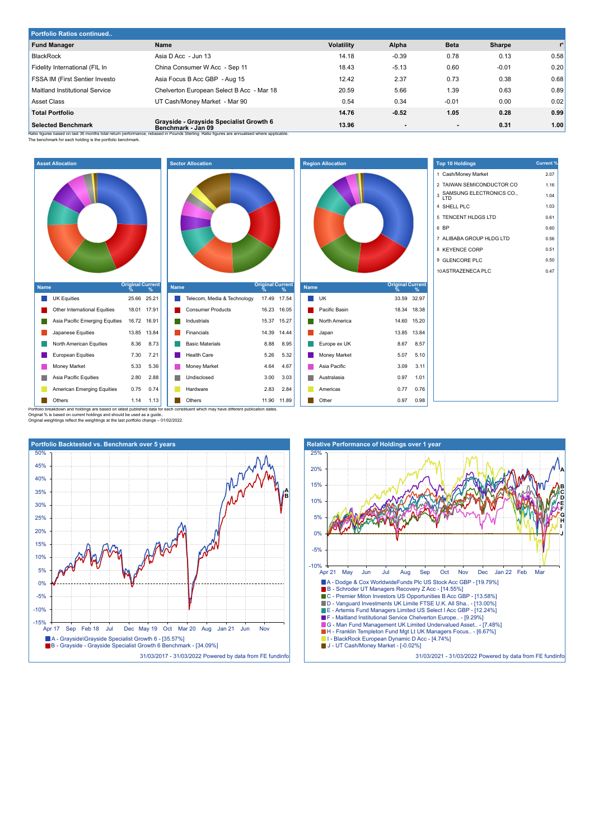| <b>Portfolio Ratios continued</b> |                                                               |                   |                |             |         |       |  |  |
|-----------------------------------|---------------------------------------------------------------|-------------------|----------------|-------------|---------|-------|--|--|
| <b>Fund Manager</b>               | Name                                                          | <b>Volatility</b> | Alpha          | <b>Beta</b> | Sharpe  | $r^2$ |  |  |
| <b>BlackRock</b>                  | Asia D Acc - Jun 13                                           | 14.18             | $-0.39$        | 0.78        | 0.13    | 0.58  |  |  |
| Fidelity International (FIL In    | China Consumer W Acc - Sep 11                                 | 18.43             | $-5.13$        | 0.60        | $-0.01$ | 0.20  |  |  |
| FSSA IM (First Sentier Investo    | Asia Focus B Acc GBP - Aug 15                                 | 12.42             | 2.37           | 0.73        | 0.38    | 0.68  |  |  |
| Maitland Institutional Service    | Chelverton European Select B Acc - Mar 18                     | 20.59             | 5.66           | 1.39        | 0.63    | 0.89  |  |  |
| <b>Asset Class</b>                | UT Cash/Money Market - Mar 90                                 | 0.54              | 0.34           | $-0.01$     | 0.00    | 0.02  |  |  |
| <b>Total Portfolio</b>            |                                                               | 14.76             | $-0.52$        | 1.05        | 0.28    | 0.99  |  |  |
| <b>Selected Benchmark</b>         | Grayside - Grayside Specialist Growth 6<br>Benchmark - Jan 09 | 13.96             | $\blacksquare$ | $\sim$      | 0.31    | 1.00  |  |  |

**Region Allocation**

 $\mathcal{C}$ 

Ratio figures based on last 36 months total return performance, rebased in Pounds Sterling. Ratio figures are annualised where applicable.<br>The benchmark for each holding is the portfolio benchmark.







Americas 0.77 0.76 **Other 0.97 0.98** 

| <b>Top 10 Holdings</b>                | <b>Current %</b> |
|---------------------------------------|------------------|
| 1 Cash/Money Market                   | 2.07             |
| 2 TAIWAN SEMICONDUCTOR CO             | 1.16             |
| SAMSUNG ELECTRONICS CO.,<br>3<br>חד ו | 1.04             |
| 4 SHELL PLC                           | 1.03             |
| 5 TENCENT HLDGS LTD                   | 0.61             |
| 6 BP                                  | 0.60             |
| 7 ALIBABA GROUP HLDG LTD              | 0.56             |
| 8 KEYENCE CORP                        | 0.51             |
| 9 GLENCORE PLC                        | 0.50             |
| 10 ASTRAZENECA PLC                    | 0.47             |
|                                       |                  |
|                                       |                  |
|                                       |                  |

**A B C D E F G H I J**

Portfolio breakdown and holdings are based on latest published data for each constituent which may have different publication dates. Original % is based on current holdings and should be used as a guide.. Original weightings reflect the weightings at the last portfolio change – 01/02/2022.